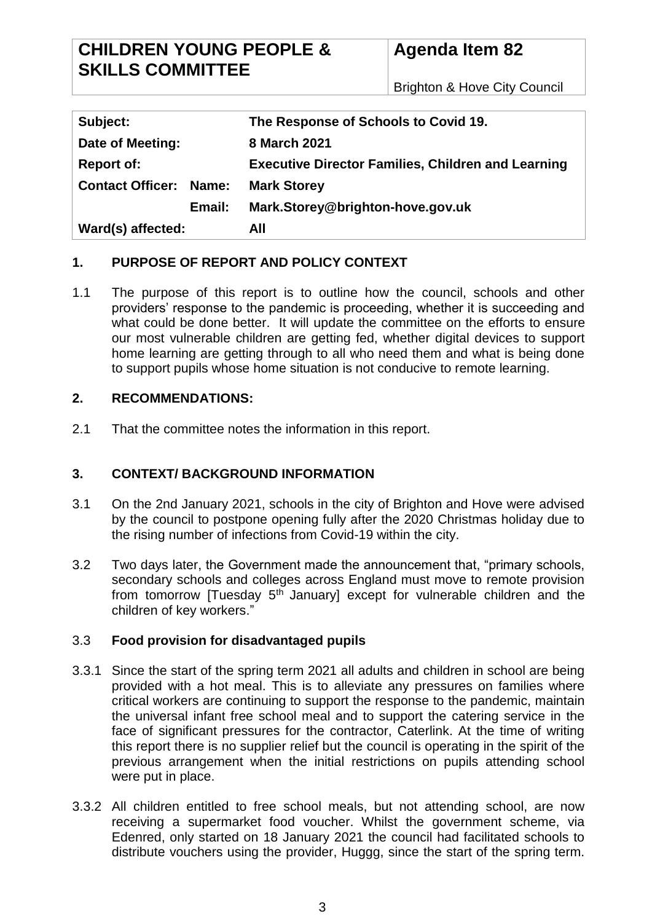## **CHILDREN YOUNG PEOPLE & SKILLS COMMITTEE**

# **Agenda Item 82**

Brighton & Hove City Council

| Subject:                         | The Response of Schools to Covid 19.                      |
|----------------------------------|-----------------------------------------------------------|
| Date of Meeting:                 | 8 March 2021                                              |
| <b>Report of:</b>                | <b>Executive Director Families, Children and Learning</b> |
| <b>Contact Officer:</b><br>Name: | <b>Mark Storey</b>                                        |
| Email:                           | Mark.Storey@brighton-hove.gov.uk                          |
| Ward(s) affected:                | All                                                       |

## **1. PURPOSE OF REPORT AND POLICY CONTEXT**

1.1 The purpose of this report is to outline how the council, schools and other providers' response to the pandemic is proceeding, whether it is succeeding and what could be done better. It will update the committee on the efforts to ensure our most vulnerable children are getting fed, whether digital devices to support home learning are getting through to all who need them and what is being done to support pupils whose home situation is not conducive to remote learning.

## **2. RECOMMENDATIONS:**

2.1 That the committee notes the information in this report.

## **3. CONTEXT/ BACKGROUND INFORMATION**

- 3.1 On the 2nd January 2021, schools in the city of Brighton and Hove were advised by the council to postpone opening fully after the 2020 Christmas holiday due to the rising number of infections from Covid-19 within the city.
- 3.2 Two days later, the Government made the announcement that, "primary schools, secondary schools and colleges across England must move to remote provision from tomorrow  $[T$ uesday  $5<sup>th</sup>$  January] except for vulnerable children and the children of key workers."

## 3.3 **Food provision for disadvantaged pupils**

- 3.3.1 Since the start of the spring term 2021 all adults and children in school are being provided with a hot meal. This is to alleviate any pressures on families where critical workers are continuing to support the response to the pandemic, maintain the universal infant free school meal and to support the catering service in the face of significant pressures for the contractor, Caterlink. At the time of writing this report there is no supplier relief but the council is operating in the spirit of the previous arrangement when the initial restrictions on pupils attending school were put in place.
- 3.3.2 All children entitled to free school meals, but not attending school, are now receiving a supermarket food voucher. Whilst the government scheme, via Edenred, only started on 18 January 2021 the council had facilitated schools to distribute vouchers using the provider, Huggg, since the start of the spring term.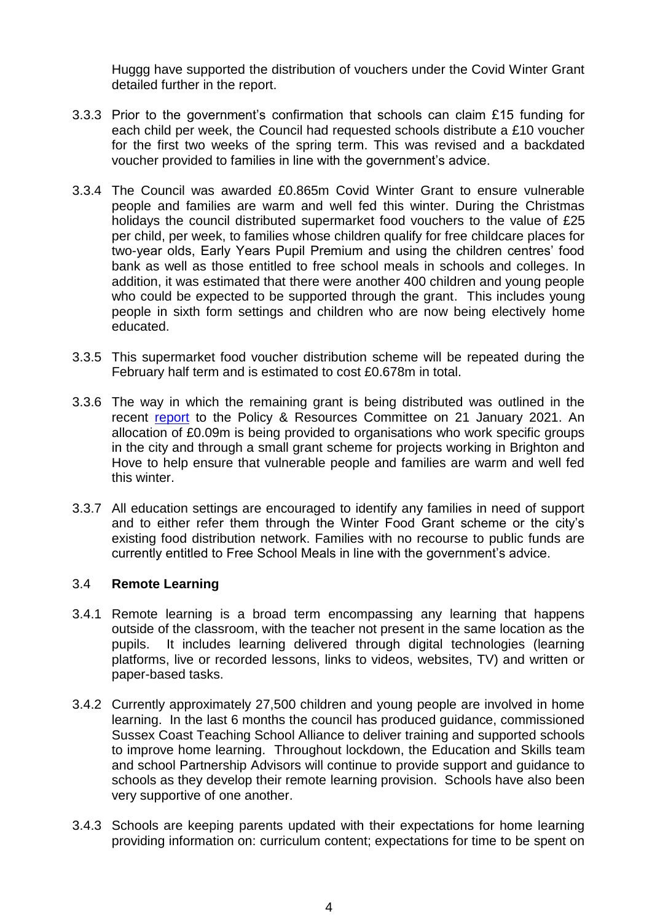Huggg have supported the distribution of vouchers under the Covid Winter Grant detailed further in the report.

- 3.3.3 Prior to the government's confirmation that schools can claim £15 funding for each child per week, the Council had requested schools distribute a £10 voucher for the first two weeks of the spring term. This was revised and a backdated voucher provided to families in line with the government's advice.
- 3.3.4 The Council was awarded £0.865m Covid Winter Grant to ensure vulnerable people and families are warm and well fed this winter. During the Christmas holidays the council distributed supermarket food vouchers to the value of £25 per child, per week, to families whose children qualify for free childcare places for two-year olds, Early Years Pupil Premium and using the children centres' food bank as well as those entitled to free school meals in schools and colleges. In addition, it was estimated that there were another 400 children and young people who could be expected to be supported through the grant. This includes young people in sixth form settings and children who are now being electively home educated.
- 3.3.5 This supermarket food voucher distribution scheme will be repeated during the February half term and is estimated to cost £0.678m in total.
- 3.3.6 The way in which the remaining grant is being distributed was outlined in the recent [report](https://present.brighton-hove.gov.uk/documents/s161219/Update%20on%20Covid%20Winter%20Grant%20Scheme.pdf) to the Policy & Resources Committee on 21 January 2021. An allocation of £0.09m is being provided to organisations who work specific groups in the city and through a small grant scheme for projects working in Brighton and Hove to help ensure that vulnerable people and families are warm and well fed this winter.
- 3.3.7 All education settings are encouraged to identify any families in need of support and to either refer them through the Winter Food Grant scheme or the city's existing food distribution network. Families with no recourse to public funds are currently entitled to Free School Meals in line with the government's advice.

#### 3.4 **Remote Learning**

- 3.4.1 Remote learning is a broad term encompassing any learning that happens outside of the classroom, with the teacher not present in the same location as the pupils. It includes learning delivered through digital technologies (learning platforms, live or recorded lessons, links to videos, websites, TV) and written or paper-based tasks.
- 3.4.2 Currently approximately 27,500 children and young people are involved in home learning. In the last 6 months the council has produced guidance, commissioned Sussex Coast Teaching School Alliance to deliver training and supported schools to improve home learning. Throughout lockdown, the Education and Skills team and school Partnership Advisors will continue to provide support and guidance to schools as they develop their remote learning provision. Schools have also been very supportive of one another.
- 3.4.3 Schools are keeping parents updated with their expectations for home learning providing information on: curriculum content; expectations for time to be spent on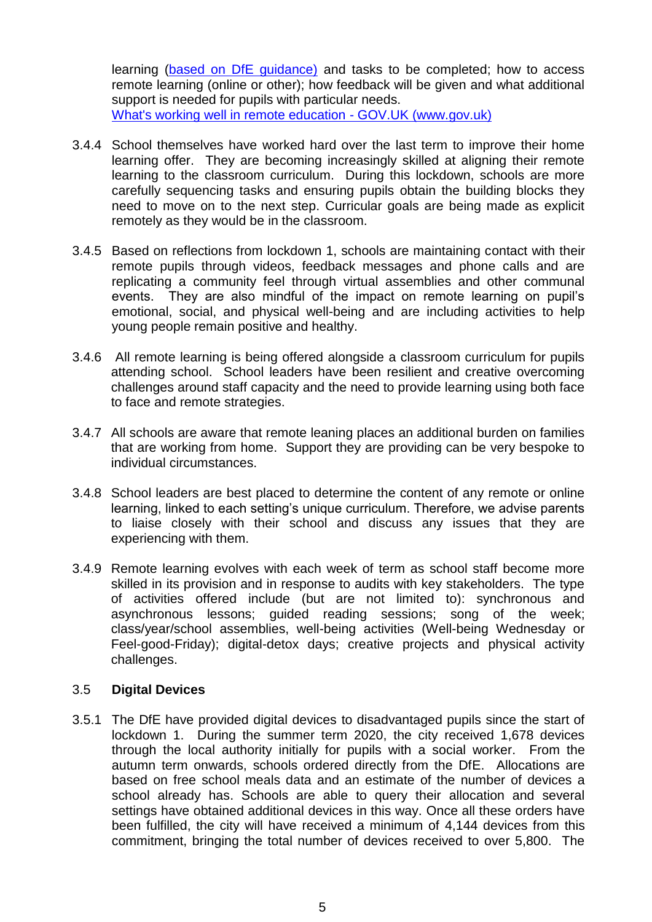learning [\(based on DfE guidance\)](https://www.gov.uk/government/publications/actions-for-schools-during-the-coronavirus-outbreak) and tasks to be completed; how to access remote learning (online or other); how feedback will be given and what additional support is needed for pupils with particular needs. [What's working well in remote education -](https://www.gov.uk/government/publications/whats-working-well-in-remote-education/whats-working-well-in-remote-education) GOV.UK (www.gov.uk)

- 3.4.4 School themselves have worked hard over the last term to improve their home learning offer. They are becoming increasingly skilled at aligning their remote learning to the classroom curriculum. During this lockdown, schools are more carefully sequencing tasks and ensuring pupils obtain the building blocks they need to move on to the next step. Curricular goals are being made as explicit remotely as they would be in the classroom.
- 3.4.5 Based on reflections from lockdown 1, schools are maintaining contact with their remote pupils through videos, feedback messages and phone calls and are replicating a community feel through virtual assemblies and other communal events. They are also mindful of the impact on remote learning on pupil's emotional, social, and physical well-being and are including activities to help young people remain positive and healthy.
- 3.4.6 All remote learning is being offered alongside a classroom curriculum for pupils attending school. School leaders have been resilient and creative overcoming challenges around staff capacity and the need to provide learning using both face to face and remote strategies.
- 3.4.7 All schools are aware that remote leaning places an additional burden on families that are working from home. Support they are providing can be very bespoke to individual circumstances.
- 3.4.8 School leaders are best placed to determine the content of any remote or online learning, linked to each setting's unique curriculum. Therefore, we advise parents to liaise closely with their school and discuss any issues that they are experiencing with them.
- 3.4.9 Remote learning evolves with each week of term as school staff become more skilled in its provision and in response to audits with key stakeholders. The type of activities offered include (but are not limited to): synchronous and asynchronous lessons; guided reading sessions; song of the week; class/year/school assemblies, well-being activities (Well-being Wednesday or Feel-good-Friday); digital-detox days; creative projects and physical activity challenges.

#### 3.5 **Digital Devices**

3.5.1 The DfE have provided digital devices to disadvantaged pupils since the start of lockdown 1. During the summer term 2020, the city received 1,678 devices through the local authority initially for pupils with a social worker. From the autumn term onwards, schools ordered directly from the DfE. Allocations are based on free school meals data and an estimate of the number of devices a school already has. Schools are able to query their allocation and several settings have obtained additional devices in this way. Once all these orders have been fulfilled, the city will have received a minimum of 4,144 devices from this commitment, bringing the total number of devices received to over 5,800. The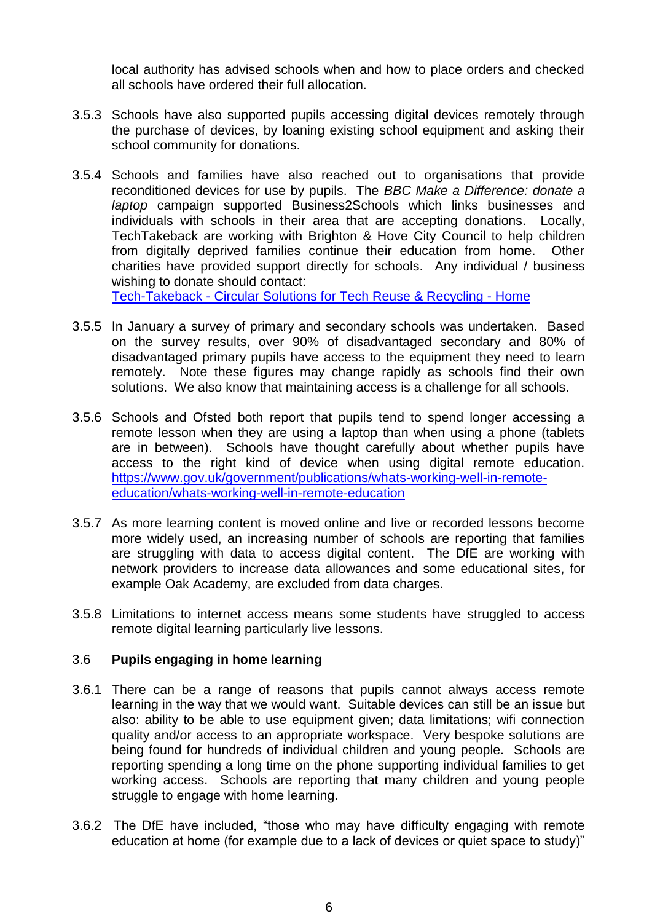local authority has advised schools when and how to place orders and checked all schools have ordered their full allocation.

- 3.5.3 Schools have also supported pupils accessing digital devices remotely through the purchase of devices, by loaning existing school equipment and asking their school community for donations.
- 3.5.4 Schools and families have also reached out to organisations that provide reconditioned devices for use by pupils. The *BBC Make a Difference: donate a laptop* campaign supported Business2Schools which links businesses and individuals with schools in their area that are accepting donations. Locally, TechTakeback are working with Brighton & Hove City Council to help children from digitally deprived families continue their education from home. Other charities have provided support directly for schools. Any individual / business wishing to donate should contact:

Tech-Takeback - [Circular Solutions for Tech Reuse & Recycling -](https://www.techtakeback.com/) Home

- 3.5.5 In January a survey of primary and secondary schools was undertaken. Based on the survey results, over 90% of disadvantaged secondary and 80% of disadvantaged primary pupils have access to the equipment they need to learn remotely. Note these figures may change rapidly as schools find their own solutions. We also know that maintaining access is a challenge for all schools.
- 3.5.6 Schools and Ofsted both report that pupils tend to spend longer accessing a remote lesson when they are using a laptop than when using a phone (tablets are in between). Schools have thought carefully about whether pupils have access to the right kind of device when using digital remote education. [https://www.gov.uk/government/publications/whats-working-well-in-remote](https://www.gov.uk/government/publications/whats-working-well-in-remote-education/whats-working-well-in-remote-education)[education/whats-working-well-in-remote-education](https://www.gov.uk/government/publications/whats-working-well-in-remote-education/whats-working-well-in-remote-education)
- 3.5.7 As more learning content is moved online and live or recorded lessons become more widely used, an increasing number of schools are reporting that families are struggling with data to access digital content. The DfE are working with network providers to increase data allowances and some educational sites, for example Oak Academy, are excluded from data charges.
- 3.5.8 Limitations to internet access means some students have struggled to access remote digital learning particularly live lessons.

#### 3.6 **Pupils engaging in home learning**

- 3.6.1 There can be a range of reasons that pupils cannot always access remote learning in the way that we would want. Suitable devices can still be an issue but also: ability to be able to use equipment given; data limitations; wifi connection quality and/or access to an appropriate workspace. Very bespoke solutions are being found for hundreds of individual children and young people. Schools are reporting spending a long time on the phone supporting individual families to get working access. Schools are reporting that many children and young people struggle to engage with home learning.
- 3.6.2 The DfE have included, "those who may have difficulty engaging with remote education at home (for example due to a lack of devices or quiet space to study)"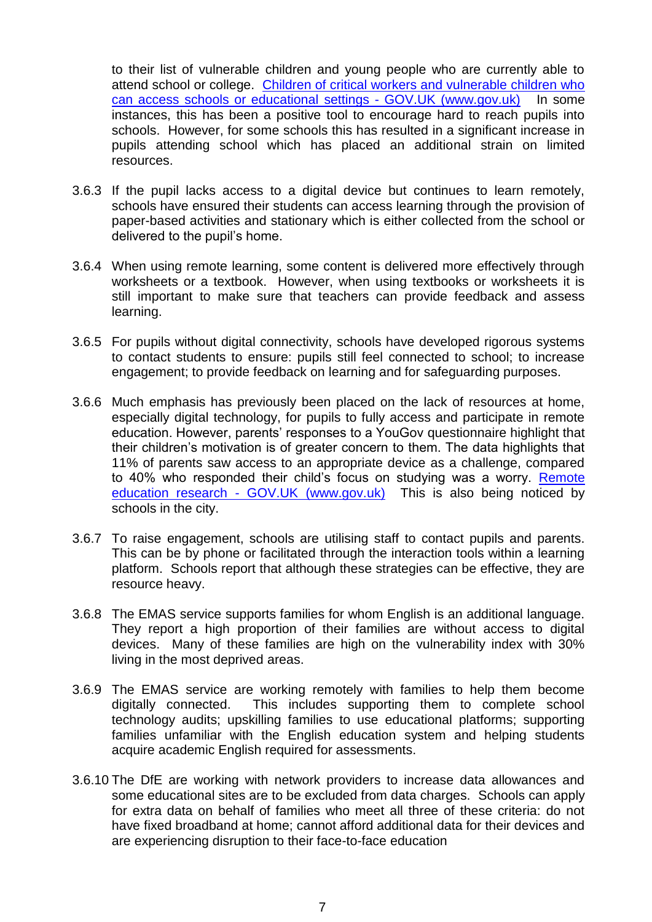to their list of vulnerable children and young people who are currently able to attend school or college. [Children of critical workers and vulnerable children who](https://www.gov.uk/government/publications/coronavirus-covid-19-maintaining-educational-provision/guidance-for-schools-colleges-and-local-authorities-on-maintaining-educational-provision)  [can access schools or educational](https://www.gov.uk/government/publications/coronavirus-covid-19-maintaining-educational-provision/guidance-for-schools-colleges-and-local-authorities-on-maintaining-educational-provision) settings - GOV.UK (www.gov.uk) In some instances, this has been a positive tool to encourage hard to reach pupils into schools. However, for some schools this has resulted in a significant increase in pupils attending school which has placed an additional strain on limited resources.

- 3.6.3 If the pupil lacks access to a digital device but continues to learn remotely, schools have ensured their students can access learning through the provision of paper-based activities and stationary which is either collected from the school or delivered to the pupil's home.
- 3.6.4 When using remote learning, some content is delivered more effectively through worksheets or a textbook. However, when using textbooks or worksheets it is still important to make sure that teachers can provide feedback and assess learning.
- 3.6.5 For pupils without digital connectivity, schools have developed rigorous systems to contact students to ensure: pupils still feel connected to school; to increase engagement; to provide feedback on learning and for safeguarding purposes.
- 3.6.6 Much emphasis has previously been placed on the lack of resources at home, especially digital technology, for pupils to fully access and participate in remote education. However, parents' responses to a YouGov questionnaire highlight that their children's motivation is of greater concern to them. The data highlights that 11% of parents saw access to an appropriate device as a challenge, compared to 40% who responded their child's focus on studying was a worry. [Remote](https://www.gov.uk/government/publications/remote-education-research/remote-education-research#engagement)  education research - [GOV.UK \(www.gov.uk\)](https://www.gov.uk/government/publications/remote-education-research/remote-education-research#engagement) This is also being noticed by schools in the city.
- 3.6.7 To raise engagement, schools are utilising staff to contact pupils and parents. This can be by phone or facilitated through the interaction tools within a learning platform. Schools report that although these strategies can be effective, they are resource heavy.
- 3.6.8 The EMAS service supports families for whom English is an additional language. They report a high proportion of their families are without access to digital devices. Many of these families are high on the vulnerability index with 30% living in the most deprived areas.
- 3.6.9 The EMAS service are working remotely with families to help them become digitally connected. This includes supporting them to complete school technology audits; upskilling families to use educational platforms; supporting families unfamiliar with the English education system and helping students acquire academic English required for assessments.
- 3.6.10 The DfE are working with network providers to increase data allowances and some educational sites are to be excluded from data charges. Schools can apply for extra data on behalf of families who meet all three of these criteria: do not have fixed broadband at home; cannot afford additional data for their devices and are experiencing disruption to their face-to-face education